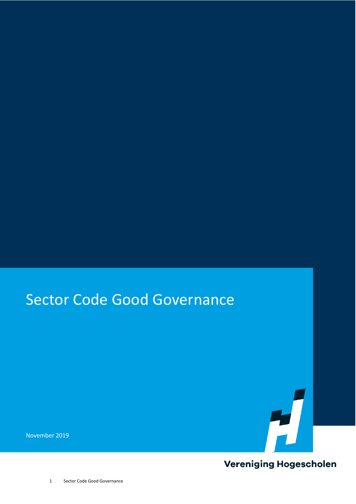### Sector Code Good Governance

November 2019



**Vereniging Hogescholen**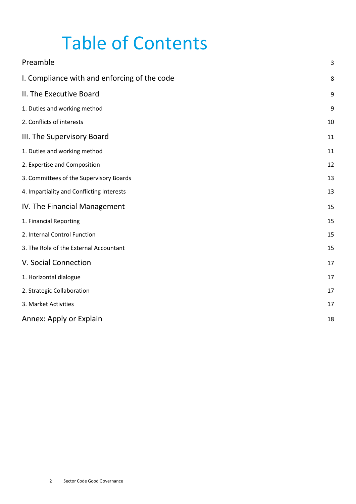### Table of Contents

| Preamble                                     | 3  |
|----------------------------------------------|----|
| I. Compliance with and enforcing of the code | 8  |
| II. The Executive Board                      | 9  |
| 1. Duties and working method                 | 9  |
| 2. Conflicts of interests                    | 10 |
| III. The Supervisory Board                   | 11 |
| 1. Duties and working method                 | 11 |
| 2. Expertise and Composition                 | 12 |
| 3. Committees of the Supervisory Boards      | 13 |
| 4. Impartiality and Conflicting Interests    | 13 |
| IV. The Financial Management                 | 15 |
| 1. Financial Reporting                       | 15 |
| 2. Internal Control Function                 | 15 |
| 3. The Role of the External Accountant       | 15 |
| V. Social Connection                         | 17 |
| 1. Horizontal dialogue                       | 17 |
| 2. Strategic Collaboration                   | 17 |
| 3. Market Activities                         | 17 |
| Annex: Apply or Explain                      | 18 |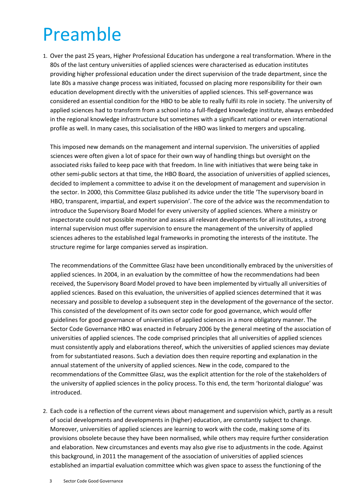### <span id="page-2-0"></span>Preamble

1. Over the past 25 years, Higher Professional Education has undergone a real transformation. Where in the 80s of the last century universities of applied sciences were characterised as education institutes providing higher professional education under the direct supervision of the trade department, since the late 80s a massive change process was initiated, focussed on placing more responsibility for their own education development directly with the universities of applied sciences. This self-governance was considered an essential condition for the HBO to be able to really fulfil its role in society. The university of applied sciences had to transform from a school into a full-fledged knowledge institute, always embedded in the regional knowledge infrastructure but sometimes with a significant national or even international profile as well. In many cases, this socialisation of the HBO was linked to mergers and upscaling.

This imposed new demands on the management and internal supervision. The universities of applied sciences were often given a lot of space for their own way of handling things but oversight on the associated risks failed to keep pace with that freedom. In line with initiatives that were being take in other semi-public sectors at that time, the HBO Board, the association of universities of applied sciences, decided to implement a committee to advise it on the development of management and supervision in the sector. In 2000, this Committee Glasz published its advice under the title 'The supervisory board in HBO, transparent, impartial, and expert supervision'. The core of the advice was the recommendation to introduce the Supervisory Board Model for every university of applied sciences. Where a ministry or inspectorate could not possible monitor and assess all relevant developments for all institutes, a strong internal supervision must offer supervision to ensure the management of the university of applied sciences adheres to the established legal frameworks in promoting the interests of the institute. The structure regime for large companies served as inspiration.

The recommendations of the Committee Glasz have been unconditionally embraced by the universities of applied sciences. In 2004, in an evaluation by the committee of how the recommendations had been received, the Supervisory Board Model proved to have been implemented by virtually all universities of applied sciences. Based on this evaluation, the universities of applied sciences determined that it was necessary and possible to develop a subsequent step in the development of the governance of the sector. This consisted of the development of its own sector code for good governance, which would offer guidelines for good governance of universities of applied sciences in a more obligatory manner. The Sector Code Governance HBO was enacted in February 2006 by the general meeting of the association of universities of applied sciences. The code comprised principles that all universities of applied sciences must consistently apply and elaborations thereof, which the universities of applied sciences may deviate from for substantiated reasons. Such a deviation does then require reporting and explanation in the annual statement of the university of applied sciences. New in the code, compared to the recommendations of the Committee Glasz, was the explicit attention for the role of the stakeholders of the university of applied sciences in the policy process. To this end, the term 'horizontal dialogue' was introduced.

2. Each code is a reflection of the current views about management and supervision which, partly as a result of social developments and developments in (higher) education, are constantly subject to change. Moreover, universities of applied sciences are learning to work with the code, making some of its provisions obsolete because they have been normalised, while others may require further consideration and elaboration. New circumstances and events may also give rise to adjustments in the code. Against this background, in 2011 the management of the association of universities of applied sciences established an impartial evaluation committee which was given space to assess the functioning of the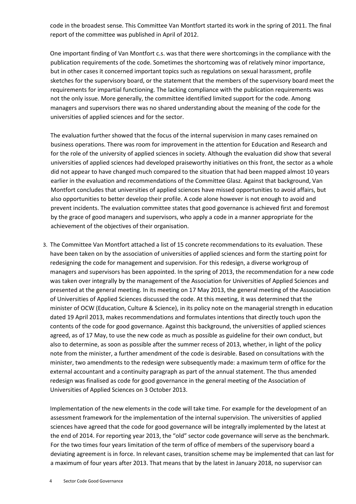code in the broadest sense. This Committee Van Montfort started its work in the spring of 2011. The final report of the committee was published in April of 2012.

One important finding of Van Montfort c.s. was that there were shortcomings in the compliance with the publication requirements of the code. Sometimes the shortcoming was of relatively minor importance, but in other cases it concerned important topics such as regulations on sexual harassment, profile sketches for the supervisory board, or the statement that the members of the supervisory board meet the requirements for impartial functioning. The lacking compliance with the publication requirements was not the only issue. More generally, the committee identified limited support for the code. Among managers and supervisors there was no shared understanding about the meaning of the code for the universities of applied sciences and for the sector.

The evaluation further showed that the focus of the internal supervision in many cases remained on business operations. There was room for improvement in the attention for Education and Research and for the role of the university of applied sciences in society. Although the evaluation did show that several universities of applied sciences had developed praiseworthy initiatives on this front, the sector as a whole did not appear to have changed much compared to the situation that had been mapped almost 10 years earlier in the evaluation and recommendations of the Committee Glasz. Against that background, Van Montfort concludes that universities of applied sciences have missed opportunities to avoid affairs, but also opportunities to better develop their profile. A code alone however is not enough to avoid and prevent incidents. The evaluation committee states that good governance is achieved first and foremost by the grace of good managers and supervisors, who apply a code in a manner appropriate for the achievement of the objectives of their organisation.

3. The Committee Van Montfort attached a list of 15 concrete recommendations to its evaluation. These have been taken on by the association of universities of applied sciences and form the starting point for redesigning the code for management and supervision. For this redesign, a diverse workgroup of managers and supervisors has been appointed. In the spring of 2013, the recommendation for a new code was taken over integrally by the management of the Association for Universities of Applied Sciences and presented at the general meeting. In its meeting on 17 May 2013, the general meeting of the Association of Universities of Applied Sciences discussed the code. At this meeting, it was determined that the minister of OCW (Education, Culture & Science), in its policy note on the managerial strength in education dated 19 April 2013, makes recommendations and formulates intentions that directly touch upon the contents of the code for good governance. Against this background, the universities of applied sciences agreed, as of 17 May, to use the new code as much as possible as guideline for their own conduct, but also to determine, as soon as possible after the summer recess of 2013, whether, in light of the policy note from the minister, a further amendment of the code is desirable. Based on consultations with the minister, two amendments to the redesign were subsequently made: a maximum term of office for the external accountant and a continuity paragraph as part of the annual statement. The thus amended redesign was finalised as code for good governance in the general meeting of the Association of Universities of Applied Sciences on 3 October 2013.

Implementation of the new elements in the code will take time. For example for the development of an assessment framework for the implementation of the internal supervision. The universities of applied sciences have agreed that the code for good governance will be integrally implemented by the latest at the end of 2014. For reporting year 2013, the "old" sector code governance will serve as the benchmark. For the two times four years limitation of the term of office of members of the supervisory board a deviating agreement is in force. In relevant cases, transition scheme may be implemented that can last for a maximum of four years after 2013. That means that by the latest in January 2018, no supervisor can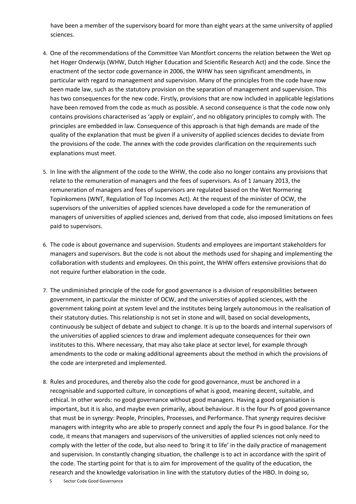have been a member of the supervisory board for more than eight years at the same university of applied sciences.

- 4. One of the recommendations of the Committee Van Montfort concerns the relation between the Wet op het Hoger Onderwijs (WHW, Dutch Higher Education and Scientific Research Act) and the code. Since the enactment of the sector code governance in 2006, the WHW has seen significant amendments, in particular with regard to management and supervision. Many of the principles from the code have now been made law, such as the statutory provision on the separation of management and supervision. This has two consequences for the new code. Firstly, provisions that are now included in applicable legislations have been removed from the code as much as possible. A second consequence is that the code now only contains provisions characterised as 'apply or explain', and no obligatory principles to comply with. The principles are embedded in law. Consequence of this approach is that high demands are made of the quality of the explanation that must be given if a university of applied sciences decides to deviate from the provisions of the code. The annex with the code provides clarification on the requirements such explanations must meet.
- 5. In line with the alignment of the code to the WHW, the code also no longer contains any provisions that relate to the remuneration of managers and the fees of supervisors. As of 1 January 2013, the remuneration of managers and fees of supervisors are regulated based on the Wet Normering Topinkomens (WNT, Regulation of Top Incomes Act). At the request of the minister of OCW, the supervisors of the universities of applied sciences have developed a code for the remuneration of managers of universities of applied sciences and, derived from that code, also imposed limitations on fees paid to supervisors.
- 6. The code is about governance and supervision. Students and employees are important stakeholders for managers and supervisors. But the code is not about the methods used for shaping and implementing the collaboration with students and employees. On this point, the WHW offers extensive provisions that do not require further elaboration in the code.
- 7. The undiminished principle of the code for good governance is a division of responsibilities between government, in particular the minister of OCW, and the universities of applied sciences, with the government taking point at system level and the institutes being largely autonomous in the realisation of their statutory duties. This relationship is not set in stone and will, based on social developments, continuously be subject of debate and subject to change. It is up to the boards and internal supervisors of the universities of applied sciences to draw and implement adequate consequences for their own institutes to this. Where necessary, that may also take place at sector level, for example through amendments to the code or making additional agreements about the method in which the provisions of the code are interpreted and implemented.
- 8. Rules and procedures, and thereby also the code for good governance, must be anchored in a recognisable and supported culture, in conceptions of what is good, meaning decent, suitable, and ethical. In other words: no good governance without good managers. Having a good organisation is important, but it is also, and maybe even primarily, about behaviour. It is the four Ps of good governance that must be in synergy: People, Principles, Processes, and Performance. That synergy requires decisive managers with integrity who are able to properly connect and apply the four Ps in good balance. For the code, it means that managers and supervisors of the universities of applied sciences not only need to comply with the letter of the code, but also need to 'bring it to life' in the daily practice of management and supervision. In constantly changing situation, the challenge is to act in accordance with the spirit of the code. The starting point for that is to aim for improvement of the quality of the education, the research and the knowledge valorisation in line with the statutory duties of the HBO. In doing so,
	- 5 Sector Code Good Governance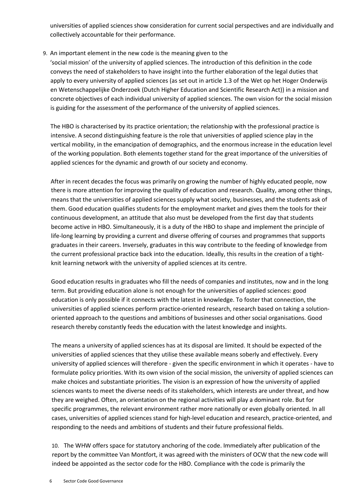universities of applied sciences show consideration for current social perspectives and are individually and collectively accountable for their performance.

#### 9. An important element in the new code is the meaning given to the

'social mission' of the university of applied sciences. The introduction of this definition in the code conveys the need of stakeholders to have insight into the further elaboration of the legal duties that apply to every university of applied sciences (as set out in article 1.3 of the Wet op het Hoger Onderwijs en Wetenschappelijke Onderzoek (Dutch Higher Education and Scientific Research Act)) in a mission and concrete objectives of each individual university of applied sciences. The own vision for the social mission is guiding for the assessment of the performance of the university of applied sciences.

The HBO is characterised by its practice orientation; the relationship with the professional practice is intensive. A second distinguishing feature is the role that universities of applied science play in the vertical mobility, in the emancipation of demographics, and the enormous increase in the education level of the working population. Both elements together stand for the great importance of the universities of applied sciences for the dynamic and growth of our society and economy.

After in recent decades the focus was primarily on growing the number of highly educated people, now there is more attention for improving the quality of education and research. Quality, among other things, means that the universities of applied sciences supply what society, businesses, and the students ask of them. Good education qualifies students for the employment market and gives them the tools for their continuous development, an attitude that also must be developed from the first day that students become active in HBO. Simultaneously, it is a duty of the HBO to shape and implement the principle of life-long learning by providing a current and diverse offering of courses and programmes that supports graduates in their careers. Inversely, graduates in this way contribute to the feeding of knowledge from the current professional practice back into the education. Ideally, this results in the creation of a tightknit learning network with the university of applied sciences at its centre.

Good education results in graduates who fill the needs of companies and institutes, now and in the long term. But providing education alone is not enough for the universities of applied sciences: good education is only possible if it connects with the latest in knowledge. To foster that connection, the universities of applied sciences perform practice-oriented research, research based on taking a solutionoriented approach to the questions and ambitions of businesses and other social organisations. Good research thereby constantly feeds the education with the latest knowledge and insights.

The means a university of applied sciences has at its disposal are limited. It should be expected of the universities of applied sciences that they utilise these available means soberly and effectively. Every university of applied sciences will therefore - given the specific environment in which it operates - have to formulate policy priorities. With its own vision of the social mission, the university of applied sciences can make choices and substantiate priorities. The vision is an expression of how the university of applied sciences wants to meet the diverse needs of its stakeholders, which interests are under threat, and how they are weighed. Often, an orientation on the regional activities will play a dominant role. But for specific programmes, the relevant environment rather more nationally or even globally oriented. In all cases, universities of applied sciences stand for high-level education and research, practice-oriented, and responding to the needs and ambitions of students and their future professional fields.

10. The WHW offers space for statutory anchoring of the code. Immediately after publication of the report by the committee Van Montfort, it was agreed with the ministers of OCW that the new code will indeed be appointed as the sector code for the HBO. Compliance with the code is primarily the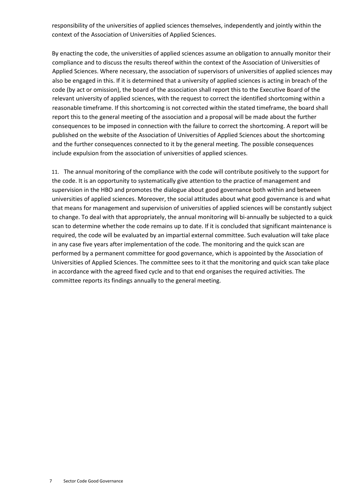responsibility of the universities of applied sciences themselves, independently and jointly within the context of the Association of Universities of Applied Sciences.

By enacting the code, the universities of applied sciences assume an obligation to annually monitor their compliance and to discuss the results thereof within the context of the Association of Universities of Applied Sciences. Where necessary, the association of supervisors of universities of applied sciences may also be engaged in this. If it is determined that a university of applied sciences is acting in breach of the code (by act or omission), the board of the association shall report this to the Executive Board of the relevant university of applied sciences, with the request to correct the identified shortcoming within a reasonable timeframe. If this shortcoming is not corrected within the stated timeframe, the board shall report this to the general meeting of the association and a proposal will be made about the further consequences to be imposed in connection with the failure to correct the shortcoming. A report will be published on the website of the Association of Universities of Applied Sciences about the shortcoming and the further consequences connected to it by the general meeting. The possible consequences include expulsion from the association of universities of applied sciences.

11. The annual monitoring of the compliance with the code will contribute positively to the support for the code. It is an opportunity to systematically give attention to the practice of management and supervision in the HBO and promotes the dialogue about good governance both within and between universities of applied sciences. Moreover, the social attitudes about what good governance is and what that means for management and supervision of universities of applied sciences will be constantly subject to change. To deal with that appropriately, the annual monitoring will bi-annually be subjected to a quick scan to determine whether the code remains up to date. If it is concluded that significant maintenance is required, the code will be evaluated by an impartial external committee. Such evaluation will take place in any case five years after implementation of the code. The monitoring and the quick scan are performed by a permanent committee for good governance, which is appointed by the Association of Universities of Applied Sciences. The committee sees to it that the monitoring and quick scan take place in accordance with the agreed fixed cycle and to that end organises the required activities. The committee reports its findings annually to the general meeting.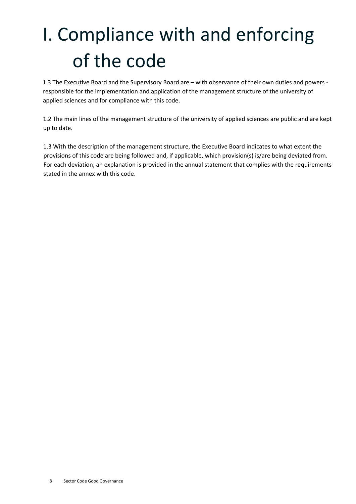# <span id="page-7-0"></span>I. Compliance with and enforcing of the code

1.3 The Executive Board and the Supervisory Board are – with observance of their own duties and powers responsible for the implementation and application of the management structure of the university of applied sciences and for compliance with this code.

1.2 The main lines of the management structure of the university of applied sciences are public and are kept up to date.

1.3 With the description of the management structure, the Executive Board indicates to what extent the provisions of this code are being followed and, if applicable, which provision(s) is/are being deviated from. For each deviation, an explanation is provided in the annual statement that complies with the requirements stated in the annex with this code.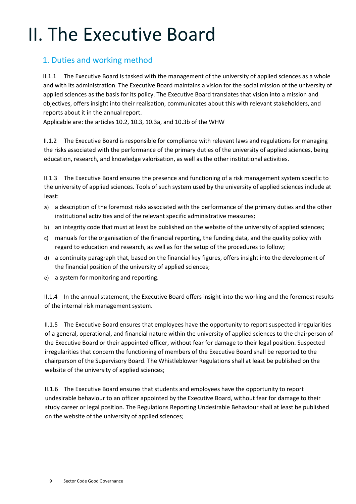### <span id="page-8-0"></span>II. The Executive Board

#### <span id="page-8-1"></span>1. Duties and working method

II.1.1 The Executive Board is tasked with the management of the university of applied sciences as a whole and with its administration. The Executive Board maintains a vision for the social mission of the university of applied sciences as the basis for its policy. The Executive Board translates that vision into a mission and objectives, offers insight into their realisation, communicates about this with relevant stakeholders, and reports about it in the annual report.

Applicable are: the articles 10.2, 10.3, 10.3a, and 10.3b of the WHW

II.1.2 The Executive Board is responsible for compliance with relevant laws and regulations for managing the risks associated with the performance of the primary duties of the university of applied sciences, being education, research, and knowledge valorisation, as well as the other institutional activities.

II.1.3 The Executive Board ensures the presence and functioning of a risk management system specific to the university of applied sciences. Tools of such system used by the university of applied sciences include at least:

- a) a description of the foremost risks associated with the performance of the primary duties and the other institutional activities and of the relevant specific administrative measures;
- b) an integrity code that must at least be published on the website of the university of applied sciences;
- c) manuals for the organisation of the financial reporting, the funding data, and the quality policy with regard to education and research, as well as for the setup of the procedures to follow;
- d) a continuity paragraph that, based on the financial key figures, offers insight into the development of the financial position of the university of applied sciences;
- e) a system for monitoring and reporting.

II.1.4 In the annual statement, the Executive Board offers insight into the working and the foremost results of the internal risk management system.

II.1.5 The Executive Board ensures that employees have the opportunity to report suspected irregularities of a general, operational, and financial nature within the university of applied sciences to the chairperson of the Executive Board or their appointed officer, without fear for damage to their legal position. Suspected irregularities that concern the functioning of members of the Executive Board shall be reported to the chairperson of the Supervisory Board. The Whistleblower Regulations shall at least be published on the website of the university of applied sciences;

II.1.6 The Executive Board ensures that students and employees have the opportunity to report undesirable behaviour to an officer appointed by the Executive Board, without fear for damage to their study career or legal position. The Regulations Reporting Undesirable Behaviour shall at least be published on the website of the university of applied sciences;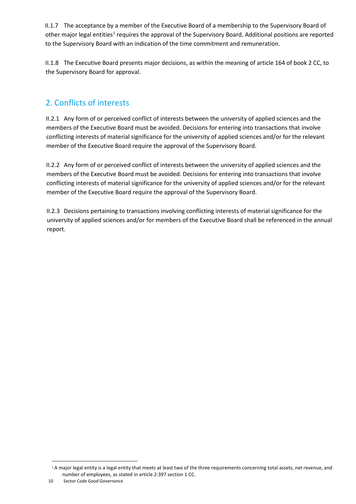II.1.7 The acceptance by a member of the Executive Board of a membership to the Supervisory Board of other major legal entities<sup>[1](#page-9-1)</sup> requires the approval of the Supervisory Board. Additional positions are reported to the Supervisory Board with an indication of the time commitment and remuneration.

II.1.8 The Executive Board presents major decisions, as within the meaning of article 164 of book 2 CC, to the Supervisory Board for approval.

#### <span id="page-9-0"></span>2. Conflicts of interests

II.2.1 Any form of or perceived conflict of interests between the university of applied sciences and the members of the Executive Board must be avoided. Decisions for entering into transactions that involve conflicting interests of material significance for the university of applied sciences and/or for the relevant member of the Executive Board require the approval of the Supervisory Board.

II.2.2 Any form of or perceived conflict of interests between the university of applied sciences and the members of the Executive Board must be avoided. Decisions for entering into transactions that involve conflicting interests of material significance for the university of applied sciences and/or for the relevant member of the Executive Board require the approval of the Supervisory Board.

II.2.3 Decisions pertaining to transactions involving conflicting interests of material significance for the university of applied sciences and/or for members of the Executive Board shall be referenced in the annual report.

<span id="page-9-1"></span><sup>&</sup>lt;sup>1</sup> A major legal entity is a legal entity that meets at least two of the three requirements concerning total assets, net revenue, and number of employees, as stated in article 2:397 section 1 CC.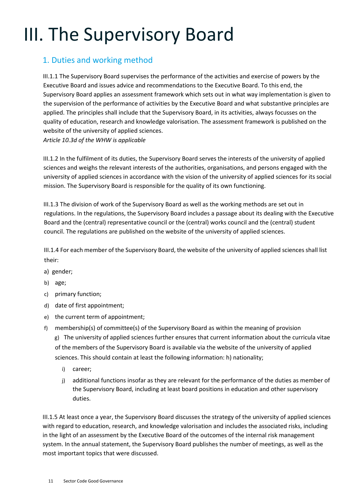### <span id="page-10-0"></span>III. The Supervisory Board

#### <span id="page-10-1"></span>1. Duties and working method

III.1.1 The Supervisory Board supervises the performance of the activities and exercise of powers by the Executive Board and issues advice and recommendations to the Executive Board. To this end, the Supervisory Board applies an assessment framework which sets out in what way implementation is given to the supervision of the performance of activities by the Executive Board and what substantive principles are applied. The principles shall include that the Supervisory Board, in its activities, always focusses on the quality of education, research and knowledge valorisation. The assessment framework is published on the website of the university of applied sciences.

*Article 10.3d of the WHW is applicable*

III.1.2 In the fulfilment of its duties, the Supervisory Board serves the interests of the university of applied sciences and weighs the relevant interests of the authorities, organisations, and persons engaged with the university of applied sciences in accordance with the vision of the university of applied sciences for its social mission. The Supervisory Board is responsible for the quality of its own functioning.

III.1.3 The division of work of the Supervisory Board as well as the working methods are set out in regulations. In the regulations, the Supervisory Board includes a passage about its dealing with the Executive Board and the (central) representative council or the (central) works council and the (central) student council. The regulations are published on the website of the university of applied sciences.

III.1.4 For each member of the Supervisory Board, the website of the university of applied sciences shall list their:

- a) gender;
- b) age;
- c) primary function;
- d) date of first appointment;
- e) the current term of appointment;
- f) membership(s) of committee(s) of the Supervisory Board as within the meaning of provision g) The university of applied sciences further ensures that current information about the curricula vitae of the members of the Supervisory Board is available via the website of the university of applied sciences. This should contain at least the following information: h) nationality;
	- i) career;
	- j) additional functions insofar as they are relevant for the performance of the duties as member of the Supervisory Board, including at least board positions in education and other supervisory duties.

III.1.5 At least once a year, the Supervisory Board discusses the strategy of the university of applied sciences with regard to education, research, and knowledge valorisation and includes the associated risks, including in the light of an assessment by the Executive Board of the outcomes of the internal risk management system. In the annual statement, the Supervisory Board publishes the number of meetings, as well as the most important topics that were discussed.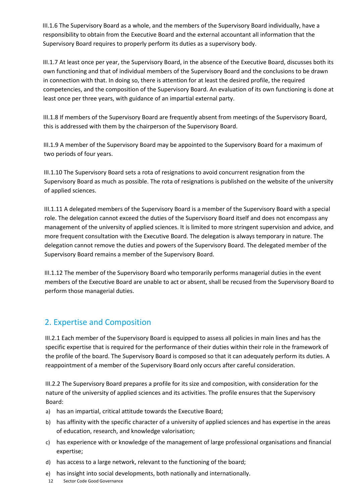III.1.6 The Supervisory Board as a whole, and the members of the Supervisory Board individually, have a responsibility to obtain from the Executive Board and the external accountant all information that the Supervisory Board requires to properly perform its duties as a supervisory body.

III.1.7 At least once per year, the Supervisory Board, in the absence of the Executive Board, discusses both its own functioning and that of individual members of the Supervisory Board and the conclusions to be drawn in connection with that. In doing so, there is attention for at least the desired profile, the required competencies, and the composition of the Supervisory Board. An evaluation of its own functioning is done at least once per three years, with guidance of an impartial external party.

III.1.8 If members of the Supervisory Board are frequently absent from meetings of the Supervisory Board, this is addressed with them by the chairperson of the Supervisory Board.

III.1.9 A member of the Supervisory Board may be appointed to the Supervisory Board for a maximum of two periods of four years.

III.1.10 The Supervisory Board sets a rota of resignations to avoid concurrent resignation from the Supervisory Board as much as possible. The rota of resignations is published on the website of the university of applied sciences.

III.1.11 A delegated members of the Supervisory Board is a member of the Supervisory Board with a special role. The delegation cannot exceed the duties of the Supervisory Board itself and does not encompass any management of the university of applied sciences. It is limited to more stringent supervision and advice, and more frequent consultation with the Executive Board. The delegation is always temporary in nature. The delegation cannot remove the duties and powers of the Supervisory Board. The delegated member of the Supervisory Board remains a member of the Supervisory Board.

III.1.12 The member of the Supervisory Board who temporarily performs managerial duties in the event members of the Executive Board are unable to act or absent, shall be recused from the Supervisory Board to perform those managerial duties.

#### <span id="page-11-0"></span>2. Expertise and Composition

III.2.1 Each member of the Supervisory Board is equipped to assess all policies in main lines and has the specific expertise that is required for the performance of their duties within their role in the framework of the profile of the board. The Supervisory Board is composed so that it can adequately perform its duties. A reappointment of a member of the Supervisory Board only occurs after careful consideration.

III.2.2 The Supervisory Board prepares a profile for its size and composition, with consideration for the nature of the university of applied sciences and its activities. The profile ensures that the Supervisory Board:

- a) has an impartial, critical attitude towards the Executive Board;
- b) has affinity with the specific character of a university of applied sciences and has expertise in the areas of education, research, and knowledge valorisation;
- c) has experience with or knowledge of the management of large professional organisations and financial expertise;
- d) has access to a large network, relevant to the functioning of the board;
- e) has insight into social developments, both nationally and internationally.
- 12 Sector Code Good Governance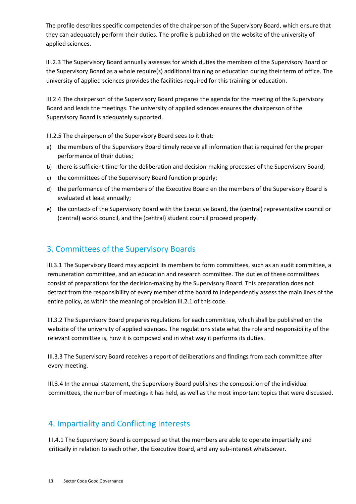The profile describes specific competencies of the chairperson of the Supervisory Board, which ensure that they can adequately perform their duties. The profile is published on the website of the university of applied sciences.

III.2.3 The Supervisory Board annually assesses for which duties the members of the Supervisory Board or the Supervisory Board as a whole require(s) additional training or education during their term of office. The university of applied sciences provides the facilities required for this training or education.

III.2.4 The chairperson of the Supervisory Board prepares the agenda for the meeting of the Supervisory Board and leads the meetings. The university of applied sciences ensures the chairperson of the Supervisory Board is adequately supported.

III.2.5 The chairperson of the Supervisory Board sees to it that:

- a) the members of the Supervisory Board timely receive all information that is required for the proper performance of their duties;
- b) there is sufficient time for the deliberation and decision-making processes of the Supervisory Board;
- c) the committees of the Supervisory Board function properly;
- d) the performance of the members of the Executive Board en the members of the Supervisory Board is evaluated at least annually;
- e) the contacts of the Supervisory Board with the Executive Board, the (central) representative council or (central) works council, and the (central) student council proceed properly.

#### <span id="page-12-0"></span>3. Committees of the Supervisory Boards

III.3.1 The Supervisory Board may appoint its members to form committees, such as an audit committee, a remuneration committee, and an education and research committee. The duties of these committees consist of preparations for the decision-making by the Supervisory Board. This preparation does not detract from the responsibility of every member of the board to independently assess the main lines of the entire policy, as within the meaning of provision III.2.1 of this code.

III.3.2 The Supervisory Board prepares regulations for each committee, which shall be published on the website of the university of applied sciences. The regulations state what the role and responsibility of the relevant committee is, how it is composed and in what way it performs its duties.

III.3.3 The Supervisory Board receives a report of deliberations and findings from each committee after every meeting.

III.3.4 In the annual statement, the Supervisory Board publishes the composition of the individual committees, the number of meetings it has held, as well as the most important topics that were discussed.

#### <span id="page-12-1"></span>4. Impartiality and Conflicting Interests

III.4.1 The Supervisory Board is composed so that the members are able to operate impartially and critically in relation to each other, the Executive Board, and any sub-interest whatsoever.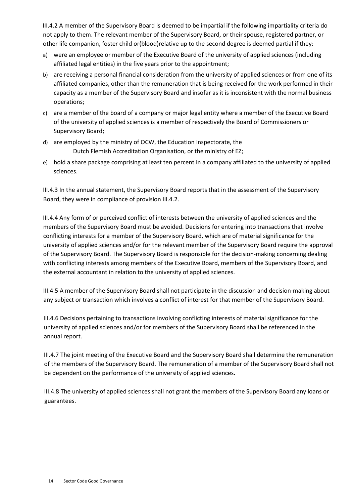III.4.2 A member of the Supervisory Board is deemed to be impartial if the following impartiality criteria do not apply to them. The relevant member of the Supervisory Board, or their spouse, registered partner, or other life companion, foster child or(blood)relative up to the second degree is deemed partial if they:

- a) were an employee or member of the Executive Board of the university of applied sciences (including affiliated legal entities) in the five years prior to the appointment;
- b) are receiving a personal financial consideration from the university of applied sciences or from one of its affiliated companies, other than the remuneration that is being received for the work performed in their capacity as a member of the Supervisory Board and insofar as it is inconsistent with the normal business operations;
- c) are a member of the board of a company or major legal entity where a member of the Executive Board of the university of applied sciences is a member of respectively the Board of Commissioners or Supervisory Board;
- d) are employed by the ministry of OCW, the Education Inspectorate, the Dutch Flemish Accreditation Organisation, or the ministry of EZ;
- e) hold a share package comprising at least ten percent in a company affiliated to the university of applied sciences.

III.4.3 In the annual statement, the Supervisory Board reports that in the assessment of the Supervisory Board, they were in compliance of provision III.4.2.

III.4.4 Any form of or perceived conflict of interests between the university of applied sciences and the members of the Supervisory Board must be avoided. Decisions for entering into transactions that involve conflicting interests for a member of the Supervisory Board, which are of material significance for the university of applied sciences and/or for the relevant member of the Supervisory Board require the approval of the Supervisory Board. The Supervisory Board is responsible for the decision-making concerning dealing with conflicting interests among members of the Executive Board, members of the Supervisory Board, and the external accountant in relation to the university of applied sciences.

III.4.5 A member of the Supervisory Board shall not participate in the discussion and decision-making about any subject or transaction which involves a conflict of interest for that member of the Supervisory Board.

III.4.6 Decisions pertaining to transactions involving conflicting interests of material significance for the university of applied sciences and/or for members of the Supervisory Board shall be referenced in the annual report.

III.4.7 The joint meeting of the Executive Board and the Supervisory Board shall determine the remuneration of the members of the Supervisory Board. The remuneration of a member of the Supervisory Board shall not be dependent on the performance of the university of applied sciences.

III.4.8 The university of applied sciences shall not grant the members of the Supervisory Board any loans or guarantees.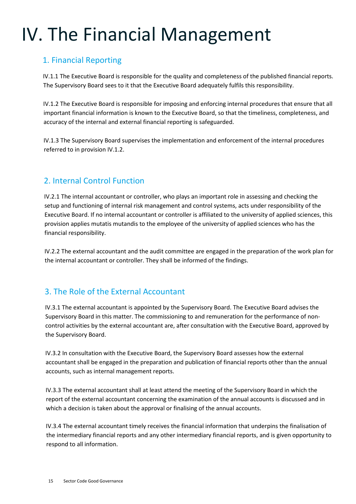## <span id="page-14-0"></span>IV. The Financial Management

#### <span id="page-14-1"></span>1. Financial Reporting

IV.1.1 The Executive Board is responsible for the quality and completeness of the published financial reports. The Supervisory Board sees to it that the Executive Board adequately fulfils this responsibility.

IV.1.2 The Executive Board is responsible for imposing and enforcing internal procedures that ensure that all important financial information is known to the Executive Board, so that the timeliness, completeness, and accuracy of the internal and external financial reporting is safeguarded.

IV.1.3 The Supervisory Board supervises the implementation and enforcement of the internal procedures referred to in provision IV.1.2.

#### <span id="page-14-2"></span>2. Internal Control Function

IV.2.1 The internal accountant or controller, who plays an important role in assessing and checking the setup and functioning of internal risk management and control systems, acts under responsibility of the Executive Board. If no internal accountant or controller is affiliated to the university of applied sciences, this provision applies mutatis mutandis to the employee of the university of applied sciences who has the financial responsibility.

IV.2.2 The external accountant and the audit committee are engaged in the preparation of the work plan for the internal accountant or controller. They shall be informed of the findings.

#### <span id="page-14-3"></span>3. The Role of the External Accountant

IV.3.1 The external accountant is appointed by the Supervisory Board. The Executive Board advises the Supervisory Board in this matter. The commissioning to and remuneration for the performance of noncontrol activities by the external accountant are, after consultation with the Executive Board, approved by the Supervisory Board.

IV.3.2 In consultation with the Executive Board, the Supervisory Board assesses how the external accountant shall be engaged in the preparation and publication of financial reports other than the annual accounts, such as internal management reports.

IV.3.3 The external accountant shall at least attend the meeting of the Supervisory Board in which the report of the external accountant concerning the examination of the annual accounts is discussed and in which a decision is taken about the approval or finalising of the annual accounts.

IV.3.4 The external accountant timely receives the financial information that underpins the finalisation of the intermediary financial reports and any other intermediary financial reports, and is given opportunity to respond to all information.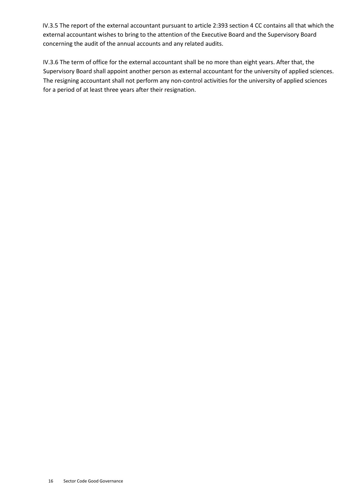IV.3.5 The report of the external accountant pursuant to article 2:393 section 4 CC contains all that which the external accountant wishes to bring to the attention of the Executive Board and the Supervisory Board concerning the audit of the annual accounts and any related audits.

IV.3.6 The term of office for the external accountant shall be no more than eight years. After that, the Supervisory Board shall appoint another person as external accountant for the university of applied sciences. The resigning accountant shall not perform any non-control activities for the university of applied sciences for a period of at least three years after their resignation.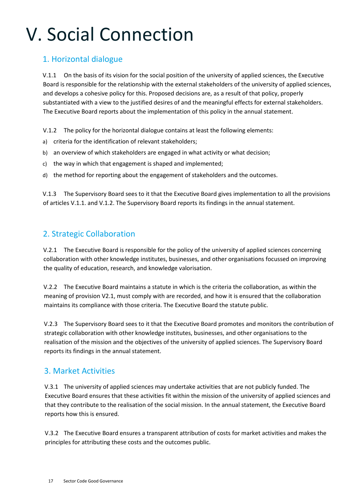## <span id="page-16-0"></span>V. Social Connection

#### <span id="page-16-1"></span>1. Horizontal dialogue

V.1.1 On the basis of its vision for the social position of the university of applied sciences, the Executive Board is responsible for the relationship with the external stakeholders of the university of applied sciences, and develops a cohesive policy for this. Proposed decisions are, as a result of that policy, properly substantiated with a view to the justified desires of and the meaningful effects for external stakeholders. The Executive Board reports about the implementation of this policy in the annual statement.

V.1.2 The policy for the horizontal dialogue contains at least the following elements:

- a) criteria for the identification of relevant stakeholders;
- b) an overview of which stakeholders are engaged in what activity or what decision;
- c) the way in which that engagement is shaped and implemented;
- d) the method for reporting about the engagement of stakeholders and the outcomes.

V.1.3 The Supervisory Board sees to it that the Executive Board gives implementation to all the provisions of articles V.1.1. and V.1.2. The Supervisory Board reports its findings in the annual statement.

#### <span id="page-16-2"></span>2. Strategic Collaboration

V.2.1 The Executive Board is responsible for the policy of the university of applied sciences concerning collaboration with other knowledge institutes, businesses, and other organisations focussed on improving the quality of education, research, and knowledge valorisation.

V.2.2 The Executive Board maintains a statute in which is the criteria the collaboration, as within the meaning of provision V2.1, must comply with are recorded, and how it is ensured that the collaboration maintains its compliance with those criteria. The Executive Board the statute public.

V.2.3 The Supervisory Board sees to it that the Executive Board promotes and monitors the contribution of strategic collaboration with other knowledge institutes, businesses, and other organisations to the realisation of the mission and the objectives of the university of applied sciences. The Supervisory Board reports its findings in the annual statement.

#### <span id="page-16-3"></span>3. Market Activities

V.3.1 The university of applied sciences may undertake activities that are not publicly funded. The Executive Board ensures that these activities fit within the mission of the university of applied sciences and that they contribute to the realisation of the social mission. In the annual statement, the Executive Board reports how this is ensured.

V.3.2 The Executive Board ensures a transparent attribution of costs for market activities and makes the principles for attributing these costs and the outcomes public.